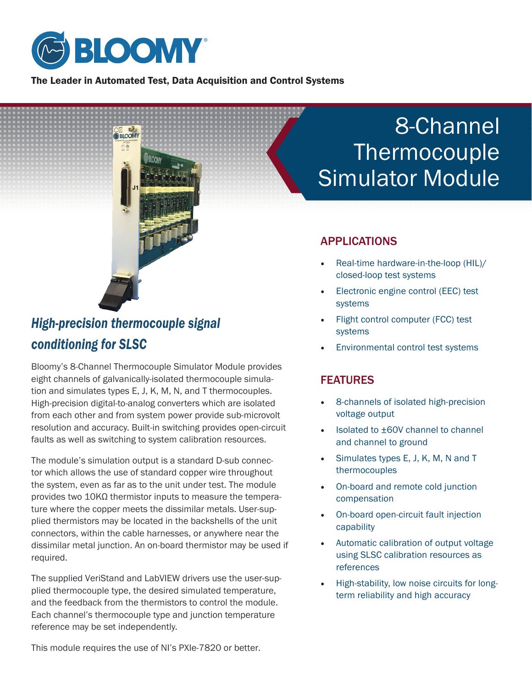

The Leader in Automated Test, Data Acquisition and Control Systems



# *High-precision thermocouple signal conditioning for SLSC*

Bloomy's 8-Channel Thermocouple Simulator Module provides eight channels of galvanically-isolated thermocouple simulation and simulates types E, J, K, M, N, and T thermocouples. High-precision digital-to-analog converters which are isolated from each other and from system power provide sub-microvolt resolution and accuracy. Built-in switching provides open-circuit faults as well as switching to system calibration resources.

The module's simulation output is a standard D-sub connector which allows the use of standard copper wire throughout the system, even as far as to the unit under test. The module provides two 10KΩ thermistor inputs to measure the temperature where the copper meets the dissimilar metals. User-supplied thermistors may be located in the backshells of the unit connectors, within the cable harnesses, or anywhere near the dissimilar metal junction. An on-board thermistor may be used if required.

The supplied VeriStand and LabVIEW drivers use the user-supplied thermocouple type, the desired simulated temperature, and the feedback from the thermistors to control the module. Each channel's thermocouple type and junction temperature reference may be set independently.

This module requires the use of NI's PXIe-7820 or better.

# 8-Channel Thermocouple Simulator Module

### APPLICATIONS

- Real-time hardware-in-the-loop (HIL)/ closed-loop test systems
- Electronic engine control (EEC) test systems
- Flight control computer (FCC) test systems
- Environmental control test systems

#### FEATURES

- 8-channels of isolated high-precision voltage output
- Isolated to ±60V channel to channel and channel to ground
- Simulates types E, J, K, M, N and T thermocouples
- On-board and remote cold junction compensation
- On-board open-circuit fault injection capability
- Automatic calibration of output voltage using SLSC calibration resources as references
- High-stability, low noise circuits for longterm reliability and high accuracy